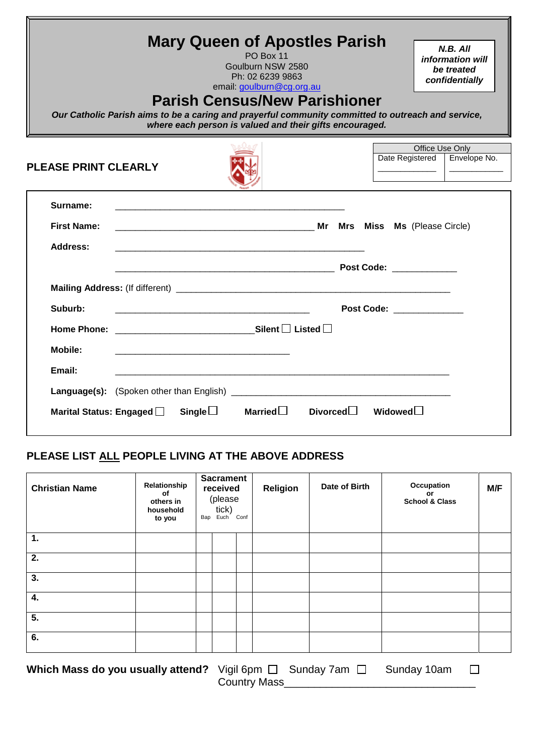# **Mary Queen of Apostles Parish**

PO Box 11

Goulburn NSW 2580 Ph: 02 6239 9863 email: [goulburn@cg.org.au](mailto:goulburn@cg.org.au)

*N.B. All information will be treated confidentially*

# **Parish Census/New Parishioner**

*Our Catholic Parish aims to be a caring and prayerful community committed to outreach and service, where each person is valued and their gifts encouraged.*

**PLEASE PRINT CLEARLY**



Office Use Only Date Registered \_\_\_\_\_\_\_\_\_\_\_\_\_ Envelope No. \_\_\_\_\_\_\_\_\_\_\_\_

| <b>First Name:</b> |                                                                                                                                                   |  |
|--------------------|---------------------------------------------------------------------------------------------------------------------------------------------------|--|
| Address:           |                                                                                                                                                   |  |
|                    |                                                                                                                                                   |  |
|                    |                                                                                                                                                   |  |
| Suburb:            | Post Code: _____________<br><u> 2000 - Jan James James Barnett, amerikan bilang pada 1990 - pada 2000 - pada 2000 - pada 2000 - pada 2000 - p</u> |  |
|                    | Home Phone: ________________________________Silent □ Listed □                                                                                     |  |
| Mobile:            |                                                                                                                                                   |  |
| Email:             | <u> 1999 - Andrea Stadt Britain, actor a component de la componentación de la componentación de la componentación</u>                             |  |
|                    |                                                                                                                                                   |  |

# **PLEASE LIST ALL PEOPLE LIVING AT THE ABOVE ADDRESS**

| <b>Christian Name</b> | Relationship<br>of<br>others in<br>household<br>to you | <b>Sacrament</b><br>received<br>(please<br>tick)<br>Bap Euch Conf | Religion | Date of Birth | Occupation<br>or<br><b>School &amp; Class</b> | M/F |
|-----------------------|--------------------------------------------------------|-------------------------------------------------------------------|----------|---------------|-----------------------------------------------|-----|
| 1.                    |                                                        |                                                                   |          |               |                                               |     |
| 2.                    |                                                        |                                                                   |          |               |                                               |     |
| 3.                    |                                                        |                                                                   |          |               |                                               |     |
| 4.                    |                                                        |                                                                   |          |               |                                               |     |
| $\overline{5}$ .      |                                                        |                                                                   |          |               |                                               |     |
| 6.                    |                                                        |                                                                   |          |               |                                               |     |
|                       |                                                        |                                                                   |          |               |                                               |     |

| Which Mass do you usually attend? Vigil 6pm $\Box$ Sunday 7am $\Box$ |                     | Sunday 10am |  |
|----------------------------------------------------------------------|---------------------|-------------|--|
|                                                                      | <b>Country Mass</b> |             |  |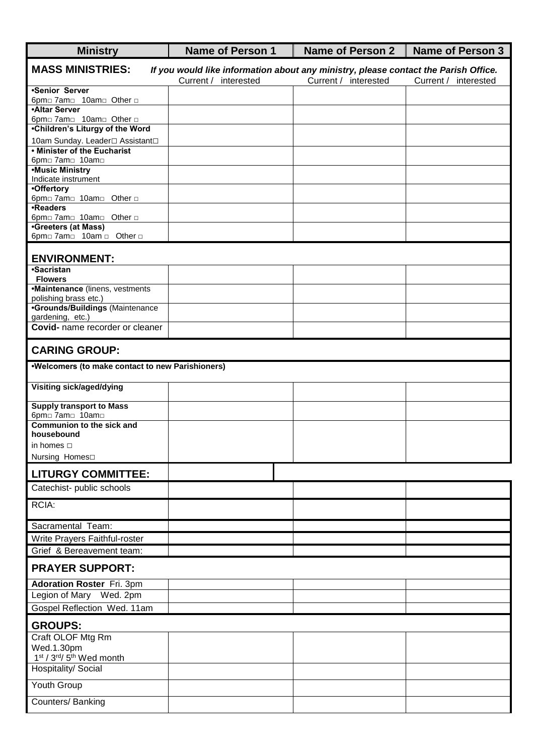| <b>Ministry</b>                                            | <b>Name of Person 1</b>                                                                                     | <b>Name of Person 2</b> | <b>Name of Person 3</b> |
|------------------------------------------------------------|-------------------------------------------------------------------------------------------------------------|-------------------------|-------------------------|
| <b>MASS MINISTRIES:</b>                                    | If you would like information about any ministry, please contact the Parish Office.<br>Current / interested | Current / interested    | Current / interested    |
| •Senior Server<br>6pmm 7amm 10amm Other m                  |                                                                                                             |                         |                         |
| <b>.Altar Server</b>                                       |                                                                                                             |                         |                         |
| 6pmo 7amo 10amo Other o<br>•Children's Liturgy of the Word |                                                                                                             |                         |                         |
| 10am Sunday. Leader□ Assistant□                            |                                                                                                             |                         |                         |
| . Minister of the Eucharist<br>6pm□ 7am□ 10am□             |                                                                                                             |                         |                         |
| •Music Ministry                                            |                                                                                                             |                         |                         |
| Indicate instrument<br>•Offertory                          |                                                                                                             |                         |                         |
| 6pmm 7amm 10amm Other m<br>•Readers                        |                                                                                                             |                         |                         |
| 6pmo 7amo 10amo Other o                                    |                                                                                                             |                         |                         |
| <b>•Greeters (at Mass)</b><br>6pmo 7amo 10am o Other o     |                                                                                                             |                         |                         |
| <b>ENVIRONMENT:</b>                                        |                                                                                                             |                         |                         |
| <b>Sacristan</b><br><b>Flowers</b>                         |                                                                                                             |                         |                         |
| •Maintenance (linens, vestments<br>polishing brass etc.)   |                                                                                                             |                         |                         |
| <b>.Grounds/Buildings (Maintenance</b>                     |                                                                                                             |                         |                         |
| gardening, etc.)<br>Covid- name recorder or cleaner        |                                                                                                             |                         |                         |
| <b>CARING GROUP:</b>                                       |                                                                                                             |                         |                         |
| .Welcomers (to make contact to new Parishioners)           |                                                                                                             |                         |                         |
| Visiting sick/aged/dying                                   |                                                                                                             |                         |                         |
| <b>Supply transport to Mass</b><br>6pm□ 7am□ 10am□         |                                                                                                             |                         |                         |
| Communion to the sick and                                  |                                                                                                             |                         |                         |
| housebound<br>in homes $\Box$                              |                                                                                                             |                         |                         |
| Nursing Homes□                                             |                                                                                                             |                         |                         |
| <b>LITURGY COMMITTEE:</b>                                  |                                                                                                             |                         |                         |
| Catechist- public schools                                  |                                                                                                             |                         |                         |
| RCIA:                                                      |                                                                                                             |                         |                         |
| Sacramental Team:                                          |                                                                                                             |                         |                         |
| Write Prayers Faithful-roster                              |                                                                                                             |                         |                         |
| Grief & Bereavement team:                                  |                                                                                                             |                         |                         |
| <b>PRAYER SUPPORT:</b>                                     |                                                                                                             |                         |                         |
| <b>Adoration Roster Fri. 3pm</b>                           |                                                                                                             |                         |                         |
| Legion of Mary Wed. 2pm                                    |                                                                                                             |                         |                         |
| Gospel Reflection Wed. 11am                                |                                                                                                             |                         |                         |
| <b>GROUPS:</b><br>Craft OLOF Mtg Rm                        |                                                                                                             |                         |                         |
| Wed.1.30pm<br>1st / 3rd/ 5th Wed month                     |                                                                                                             |                         |                         |
| <b>Hospitality/ Social</b>                                 |                                                                                                             |                         |                         |
| Youth Group                                                |                                                                                                             |                         |                         |
| Counters/ Banking                                          |                                                                                                             |                         |                         |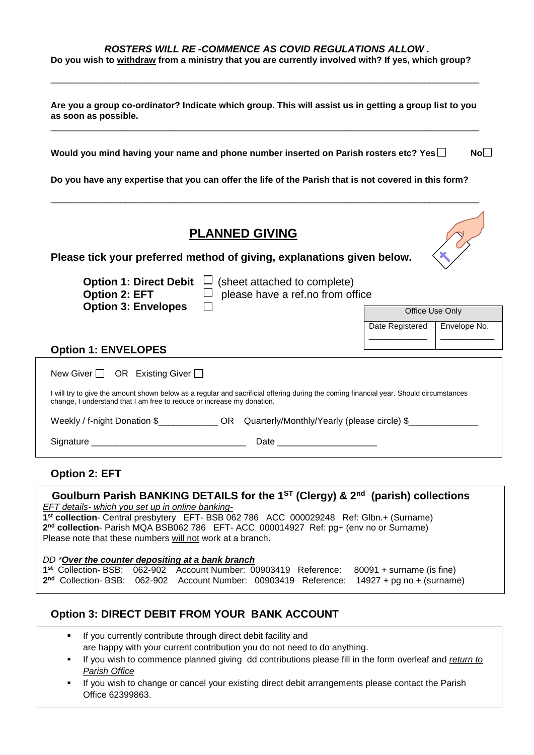### *ROSTERS WILL RE -COMMENCE AS COVID REGULATIONS ALLOW .* **Do you wish to withdraw from a ministry that you are currently involved with? If yes, which group?**

\_\_\_\_\_\_\_\_\_\_\_\_\_\_\_\_\_\_\_\_\_\_\_\_\_\_\_\_\_\_\_\_\_\_\_\_\_\_\_\_\_\_\_\_\_\_\_\_\_\_\_\_\_\_\_\_\_\_\_\_\_\_\_\_\_\_\_\_\_\_\_\_\_\_\_\_\_\_\_\_\_\_\_\_\_\_

| Are you a group co-ordinator? Indicate which group. This will assist us in getting a group list to you<br>as soon as possible.                                                                                   |                 |              |  |  |  |
|------------------------------------------------------------------------------------------------------------------------------------------------------------------------------------------------------------------|-----------------|--------------|--|--|--|
| Nol l<br>Would you mind having your name and phone number inserted on Parish rosters etc? Yes                                                                                                                    |                 |              |  |  |  |
| Do you have any expertise that you can offer the life of the Parish that is not covered in this form?                                                                                                            |                 |              |  |  |  |
| <b>PLANNED GIVING</b><br>Please tick your preferred method of giving, explanations given below.                                                                                                                  |                 |              |  |  |  |
|                                                                                                                                                                                                                  |                 |              |  |  |  |
| <b>Option 1: Direct Debit</b> $\Box$ (sheet attached to complete)<br>$\Box$ please have a ref. no from office<br><b>Option 2: EFT</b>                                                                            |                 |              |  |  |  |
| <b>Option 3: Envelopes</b>                                                                                                                                                                                       | Office Use Only |              |  |  |  |
|                                                                                                                                                                                                                  | Date Registered | Envelope No. |  |  |  |
| <b>Option 1: ENVELOPES</b>                                                                                                                                                                                       |                 |              |  |  |  |
| New Giver $\Box$ OR Existing Giver $\Box$                                                                                                                                                                        |                 |              |  |  |  |
| I will try to give the amount shown below as a regular and sacrificial offering during the coming financial year. Should circumstances<br>change, I understand that I am free to reduce or increase my donation. |                 |              |  |  |  |
| Weekly / f-night Donation \$_______________OR Quarterly/Monthly/Yearly (please circle) \$____________                                                                                                            |                 |              |  |  |  |
|                                                                                                                                                                                                                  |                 |              |  |  |  |
| <b>Option 2: EFT</b>                                                                                                                                                                                             |                 |              |  |  |  |

## **Goulburn Parish BANKING DETAILS for the 1ST (Clergy) & 2nd (parish) collections** *EFT details- which you set up in online banking-*

**1 st collection**- Central presbytery EFT- BSB 062 786 ACC 000029248 Ref: Glbn.+ (Surname) **2 nd collection**- Parish MQA BSB062 786 EFT- ACC 000014927 Ref: pg+ (env no or Surname) Please note that these numbers will not work at a branch.

### *DD \*Over the counter depositing at a bank branch*

|  |  |  | 1 <sup>st</sup> Collection-BSB: 062-902 Account Number: 00903419 Reference: 80091 + surname (is fine) |
|--|--|--|-------------------------------------------------------------------------------------------------------|
|  |  |  | 2 <sup>nd</sup> Collection-BSB: 062-902 Account Number: 00903419 Reference: 14927 + pg no + (surname) |

## **Option 3: DIRECT DEBIT FROM YOUR BANK ACCOUNT**

- If you currently contribute through direct debit facility and are happy with your current contribution you do not need to do anything.
- If you wish to commence planned giving dd contributions please fill in the form overleaf and *return to Parish Office*
- If you wish to change or cancel your existing direct debit arrangements please contact the Parish Office 62399863.